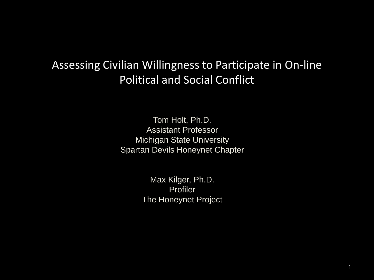#### Assessing Civilian Willingness to Participate in On-line Political and Social Conflict

Tom Holt, Ph.D. Assistant Professor Michigan State University Spartan Devils Honeynet Chapter

> Max Kilger, Ph.D. Profiler The Honeynet Project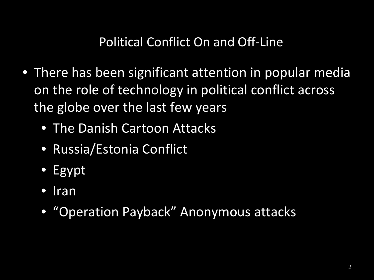#### Political Conflict On and Off-Line

- There has been significant attention in popular media on the role of technology in political conflict across the globe over the last few years
	- The Danish Cartoon Attacks
	- Russia/Estonia Conflict
	- Egypt
	- Iran
	- "Operation Payback" Anonymous attacks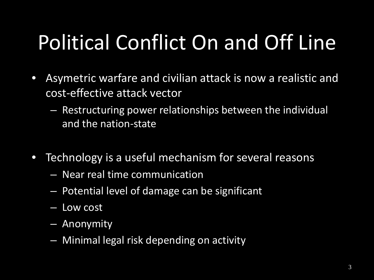# Political Conflict On and Off Line

- Asymetric warfare and civilian attack is now a realistic and cost-effective attack vector
	- Restructuring power relationships between the individual and the nation-state
- Technology is a useful mechanism for several reasons
	- Near real time communication
	- Potential level of damage can be significant
	- Low cost
	- Anonymity
	- Minimal legal risk depending on activity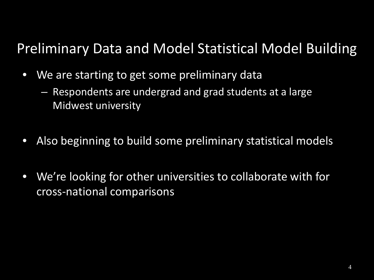### Preliminary Data and Model Statistical Model Building

- We are starting to get some preliminary data
	- Respondents are undergrad and grad students at a large Midwest university
- Also beginning to build some preliminary statistical models
- We're looking for other universities to collaborate with for cross-national comparisons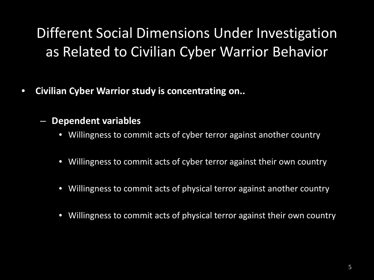### Different Social Dimensions Under Investigation as Related to Civilian Cyber Warrior Behavior

- **Civilian Cyber Warrior study is concentrating on..**
	- **Dependent variables**
		- Willingness to commit acts of cyber terror against another country
		- Willingness to commit acts of cyber terror against their own country
		- Willingness to commit acts of physical terror against another country
		- Willingness to commit acts of physical terror against their own country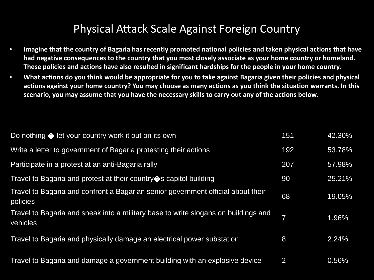#### Physical Attack Scale Against Foreign Country

- **Imagine that the country of Bagaria has recently promoted national policies and taken physical actions that have had negative consequences to the country that you most closely associate as your home country or homeland. These policies and actions have also resulted in significant hardships for the people in your home country.**
- **What actions do you think would be appropriate for you to take against Bagaria given their policies and physical actions against your home country? You may choose as many actions as you think the situation warrants. In this scenario, you may assume that you have the necessary skills to carry out any of the actions below.**

| Do nothing $\bigcirc$ let your country work it out on its own                                  | 151 | 42.30% |
|------------------------------------------------------------------------------------------------|-----|--------|
| Write a letter to government of Bagaria protesting their actions                               | 192 | 53.78% |
| Participate in a protest at an anti-Bagaria rally                                              | 207 | 57.98% |
| Travel to Bagaria and protest at their country $\diamond$ s capitol building                   | 90  | 25.21% |
| Travel to Bagaria and confront a Bagarian senior government official about their<br>policies   | 68  | 19.05% |
| Travel to Bagaria and sneak into a military base to write slogans on buildings and<br>vehicles | 7   | 1.96%  |
| Travel to Bagaria and physically damage an electrical power substation                         | 8   | 2.24%  |
| Travel to Bagaria and damage a government building with an explosive device                    | 2   | 0.56%  |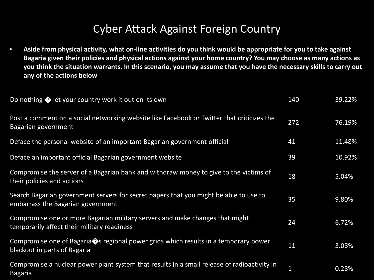#### Cyber Attack Against Foreign Country

• **Aside from physical activity, what on-line activities do you think would be appropriate for you to take against Bagaria given their policies and physical actions against your home country? You may choose as many actions as you think the situation warrants. In this scenario, you may assume that you have the necessary skills to carry out any of the actions below**

| Do nothing ♦ let your country work it out on its own                                                                               | 140 | 39.22% |
|------------------------------------------------------------------------------------------------------------------------------------|-----|--------|
| Post a comment on a social networking website like Facebook or Twitter that criticizes the<br>Bagarian government                  | 272 | 76.19% |
| Deface the personal website of an important Bagarian government official                                                           | 41  | 11.48% |
| Deface an important official Bagarian government website                                                                           | 39  | 10.92% |
| Compromise the server of a Bagarian bank and withdraw money to give to the victims of<br>their policies and actions                | 18  | 5.04%  |
| Search Bagarian government servers for secret papers that you might be able to use to<br>embarrass the Bagarian government         | 35  | 9.80%  |
| Compromise one or more Bagarian military servers and make changes that might<br>temporarily affect their military readiness        | 24  | 6.72%  |
| Compromise one of Bagaria $\diamondsuit$ s regional power grids which results in a temporary power<br>blackout in parts of Bagaria | 11  | 3.08%  |
| Compromise a nuclear power plant system that results in a small release of radioactivity in<br><b>Bagaria</b>                      | 1   | 0.28%  |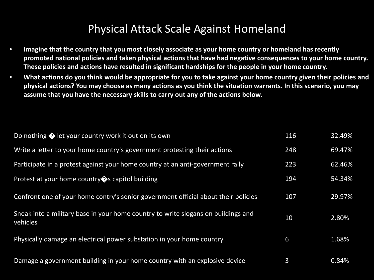#### Physical Attack Scale Against Homeland

- **Imagine that the country that you most closely associate as your home country or homeland has recently promoted national policies and taken physical actions that have had negative consequences to your home country. These policies and actions have resulted in significant hardships for the people in your home country.**
- **What actions do you think would be appropriate for you to take against your home country given their policies and physical actions? You may choose as many actions as you think the situation warrants. In this scenario, you may assume that you have the necessary skills to carry out any of the actions below.**

| Do nothing $\bigcirc$ let your country work it out on its own                                 | 116 | 32.49% |
|-----------------------------------------------------------------------------------------------|-----|--------|
| Write a letter to your home country's government protesting their actions                     | 248 | 69.47% |
| Participate in a protest against your home country at an anti-government rally                | 223 | 62.46% |
| Protest at your home country $\bullet$ s capitol building                                     | 194 | 54.34% |
| Confront one of your home contry's senior government official about their policies            | 107 | 29.97% |
| Sneak into a military base in your home country to write slogans on buildings and<br>vehicles | 10  | 2.80%  |
| Physically damage an electrical power substation in your home country                         | 6   | 1.68%  |
| Damage a government building in your home country with an explosive device                    | 3   | 0.84%  |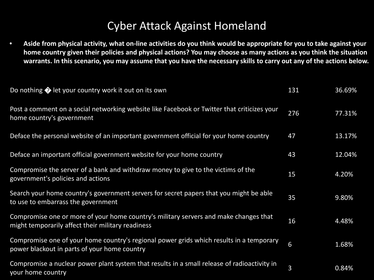#### Cyber Attack Against Homeland

• **Aside from physical activity, what on-line activities do you think would be appropriate for you to take against your home country given their policies and physical actions? You may choose as many actions as you think the situation warrants. In this scenario, you may assume that you have the necessary skills to carry out any of the actions below.**

| Do nothing $\bigcirc$ let your country work it out on its own                                                                             | 131 | 36.69% |
|-------------------------------------------------------------------------------------------------------------------------------------------|-----|--------|
| Post a comment on a social networking website like Facebook or Twitter that criticizes your<br>home country's government                  | 276 | 77.31% |
| Deface the personal website of an important government official for your home country                                                     | 47  | 13.17% |
| Deface an important official government website for your home country                                                                     | 43  | 12.04% |
| Compromise the server of a bank and withdraw money to give to the victims of the<br>government's policies and actions                     | 15  | 4.20%  |
| Search your home country's government servers for secret papers that you might be able<br>to use to embarrass the government              | 35  | 9.80%  |
| Compromise one or more of your home country's military servers and make changes that<br>might temporarily affect their military readiness | 16  | 4.48%  |
| Compromise one of your home country's regional power grids which results in a temporary<br>power blackout in parts of your home country   | 6   | 1.68%  |
| Compromise a nuclear power plant system that results in a small release of radioactivity in<br>your home country                          | 3   | 0.84%  |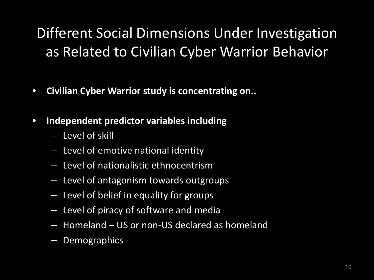### Different Social Dimensions Under Investigation as Related to Civilian Cyber Warrior Behavior

- **Civilian Cyber Warrior study is concentrating on..**
- **Independent predictor variables including**
	- Level of skill
	- Level of emotive national identity
	- Level of nationalistic ethnocentrism
	- Level of antagonism towards outgroups
	- Level of belief in equality for groups
	- Level of piracy of software and media
	- Homeland US or non-US declared as homeland
	- Demographics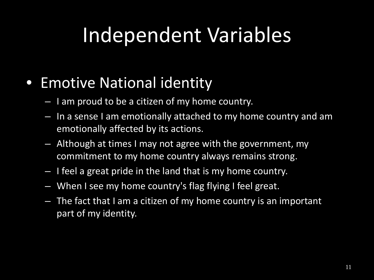### • Emotive National identity

- I am proud to be a citizen of my home country.
- In a sense I am emotionally attached to my home country and am emotionally affected by its actions.
- Although at times I may not agree with the government, my commitment to my home country always remains strong.
- I feel a great pride in the land that is my home country.
- When I see my home country's flag flying I feel great.
- The fact that I am a citizen of my home country is an important part of my identity.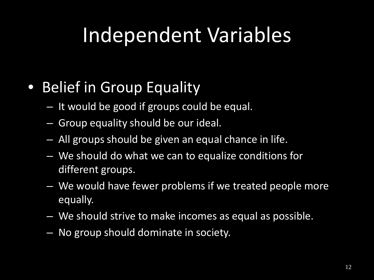## • Belief in Group Equality

- It would be good if groups could be equal.
- Group equality should be our ideal.
- All groups should be given an equal chance in life.
- We should do what we can to equalize conditions for different groups.
- We would have fewer problems if we treated people more equally.
- We should strive to make incomes as equal as possible.
- No group should dominate in society.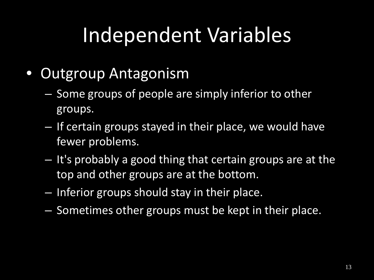- Outgroup Antagonism
	- Some groups of people are simply inferior to other groups.
	- If certain groups stayed in their place, we would have fewer problems.
	- It's probably a good thing that certain groups are at the top and other groups are at the bottom.
	- Inferior groups should stay in their place.
	- Sometimes other groups must be kept in their place.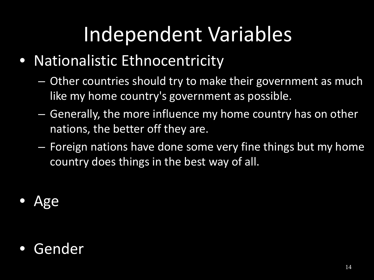- Nationalistic Ethnocentricity
	- Other countries should try to make their government as much like my home country's government as possible.
	- Generally, the more influence my home country has on other nations, the better off they are.
	- Foreign nations have done some very fine things but my home country does things in the best way of all.
- Age

### • Gender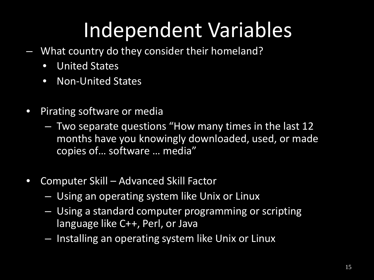- What country do they consider their homeland?
	- United States
	- Non-United States
- Pirating software or media
	- Two separate questions "How many times in the last 12 months have you knowingly downloaded, used, or made copies of… software … media"
- Computer Skill Advanced Skill Factor
	- Using an operating system like Unix or Linux
	- Using a standard computer programming or scripting language like C++, Perl, or Java
	- Installing an operating system like Unix or Linux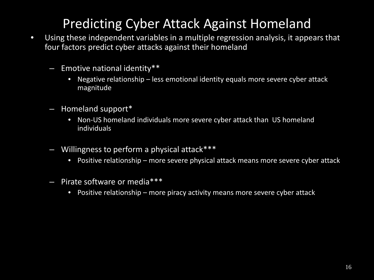### Predicting Cyber Attack Against Homeland

- Using these independent variables in a multiple regression analysis, it appears that four factors predict cyber attacks against their homeland
	- Emotive national identity\*\*
		- Negative relationship less emotional identity equals more severe cyber attack magnitude
	- Homeland support\*
		- Non-US homeland individuals more severe cyber attack than US homeland individuals
	- Willingness to perform a physical attack\*\*\*
		- Positive relationship more severe physical attack means more severe cyber attack
	- Pirate software or media\*\*\*
		- Positive relationship more piracy activity means more severe cyber attack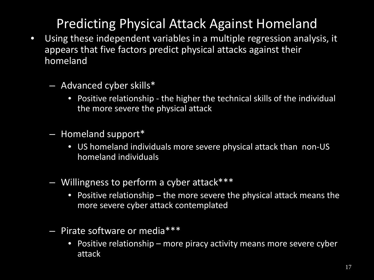### Predicting Physical Attack Against Homeland

- Using these independent variables in a multiple regression analysis, it appears that five factors predict physical attacks against their homeland
	- Advanced cyber skills\*
		- Positive relationship the higher the technical skills of the individual the more severe the physical attack
	- Homeland support\*
		- US homeland individuals more severe physical attack than non-US homeland individuals
	- Willingness to perform a cyber attack\*\*\*
		- Positive relationship the more severe the physical attack means the more severe cyber attack contemplated
	- Pirate software or media\*\*\*
		- Positive relationship more piracy activity means more severe cyber attack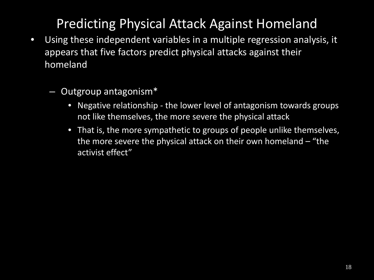### Predicting Physical Attack Against Homeland

- Using these independent variables in a multiple regression analysis, it appears that five factors predict physical attacks against their homeland
	- Outgroup antagonism\*
		- Negative relationship the lower level of antagonism towards groups not like themselves, the more severe the physical attack
		- That is, the more sympathetic to groups of people unlike themselves, the more severe the physical attack on their own homeland – "the activist effect"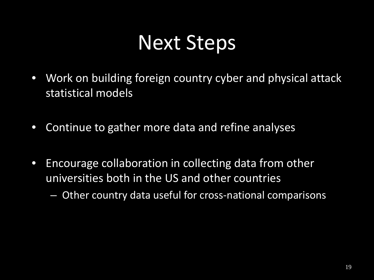## Next Steps

- Work on building foreign country cyber and physical attack statistical models
- Continue to gather more data and refine analyses
- Encourage collaboration in collecting data from other universities both in the US and other countries

– Other country data useful for cross-national comparisons